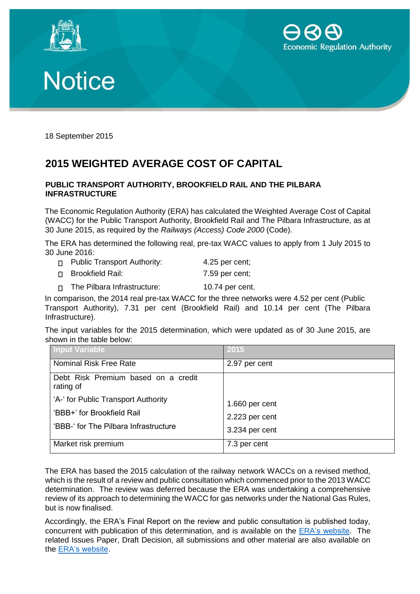





18 September 2015

## **2015 WEIGHTED AVERAGE COST OF CAPITAL**

## **PUBLIC TRANSPORT AUTHORITY, BROOKFIELD RAIL AND THE PILBARA INFRASTRUCTURE**

The Economic Regulation Authority (ERA) has calculated the Weighted Average Cost of Capital (WACC) for the Public Transport Authority, Brookfield Rail and The Pilbara Infrastructure, as at 30 June 2015, as required by the *Railways (Access) Code 2000* (Code).

The ERA has determined the following real, pre-tax WACC values to apply from 1 July 2015 to 30 June 2016:

| <b>D</b> Public Transport Authority: |  | $4.25$ per cent; |
|--------------------------------------|--|------------------|
|--------------------------------------|--|------------------|

□ Brookfield Rail: 7.59 per cent;

The Pilbara Infrastructure: 10.74 per cent.  $\Box$ 

In comparison, the 2014 real pre-tax WACC for the three networks were 4.52 per cent (Public Transport Authority), 7.31 per cent (Brookfield Rail) and 10.14 per cent (The Pilbara Infrastructure).

The input variables for the 2015 determination, which were updated as of 30 June 2015, are shown in the table below:

| <b>Input Variable</b>                                               | 2015           |
|---------------------------------------------------------------------|----------------|
| <b>Nominal Risk Free Rate</b>                                       | 2.97 per cent  |
| Debt Risk Premium based on a credit<br>rating of                    |                |
| 'A-' for Public Transport Authority                                 | 1.660 per cent |
| 'BBB+' for Brookfield Rail<br>'BBB-' for The Pilbara Infrastructure | 2.223 per cent |
|                                                                     | 3.234 per cent |
| Market risk premium                                                 | 7.3 per cent   |

The ERA has based the 2015 calculation of the railway network WACCs on a revised method, which is the result of a review and public consultation which commenced prior to the 2013 WACC determination. The review was deferred because the ERA was undertaking a comprehensive review of its approach to determining the WACC for gas networks under the National Gas Rules, but is now finalised.

Accordingly, the ERA's Final Report on the review and public consultation is published today, concurrent with publication of this determination, and is available on the [ERA's website.](https://www.erawa.com.au/rail/rail-access/weighted-average-cost-of-capital) The related Issues Paper, Draft Decision, all submissions and other material are also available on the [ERA's website.](https://www.erawa.com.au/rail/rail-access/weighted-average-cost-of-capital)